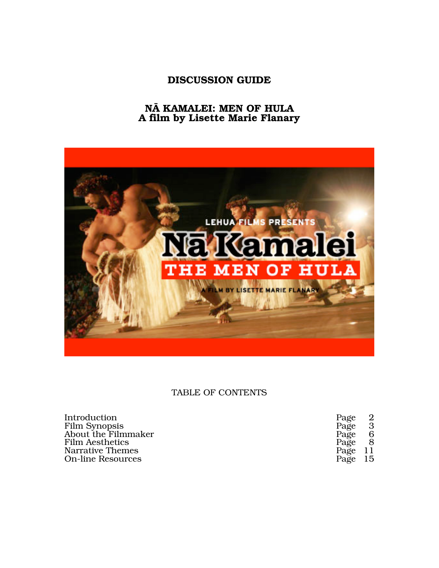# **DISCUSSION GUIDE**

# **NÄ KAMALEI: MEN OF HULA A film by Lisette Marie Flanary**



# TABLE OF CONTENTS

| Introduction             | Page 2  |                            |
|--------------------------|---------|----------------------------|
| <b>Film Synopsis</b>     | Page    | $\overline{\phantom{a}}$ 3 |
| About the Filmmaker      | Page 6  |                            |
| <b>Film Aesthetics</b>   | Page 8  |                            |
| Narrative Themes         | Page 11 |                            |
| <b>On-line Resources</b> | Page 15 |                            |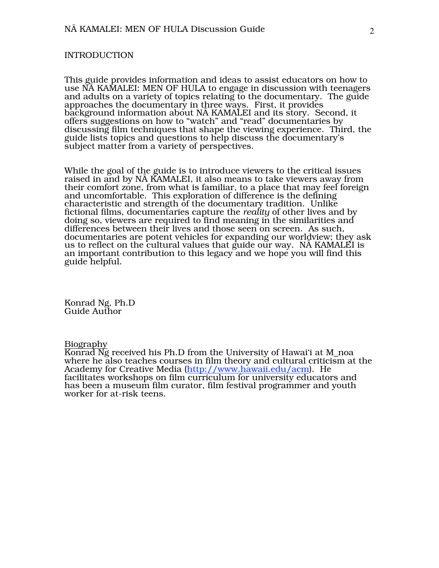## INTRODUCTION

This guide provides information and ideas to assist educators on how to use NÄ KAMALEI: MEN OF HULA to engage in discussion with teenagers and adults on a variety of topics relating to the documentary. The guide approaches the documentary in three ways. First, it provides background information about NÄ KAMALEI and its story. Second, it offers suggestions on how to "watch" and "read" documentaries by discussing film techniques that shape the viewing experience. Third, the guide lists topics and questions to help discuss the documentary's subject matter from a variety of perspectives.

While the goal of the guide is to introduce viewers to the critical issues raised in and by NÄ KAMALEI, it also means to take viewers away from their comfort zone, from what is familiar, to a place that may feel foreign and uncomfortable. This exploration of difference is the defining characteristic and strength of the documentary tradition. Unlike fictional films, documentaries capture the *reality* of other lives and by doing so, viewers are required to find meaning in the similarities and differences between their lives and those seen on screen. As such, documentaries are potent vehicles for expanding our worldview; they ask us to reflect on the cultural values that guide our way. NÄ KAMALEI is an important contribution to this legacy and we hope you will find this guide helpful.

Konrad Ng, Ph.D Guide Author

# Biography

Konrad Ng received his Ph.D from the University of Hawai'i at M\_noa where he also teaches courses in film theory and cultural criticism at the Academy for Creative Media (http://www.hawaii.edu/acm). He facilitates workshops on film curriculum for university educators and has been a museum film curator, film festival programmer and youth worker for at-risk teens.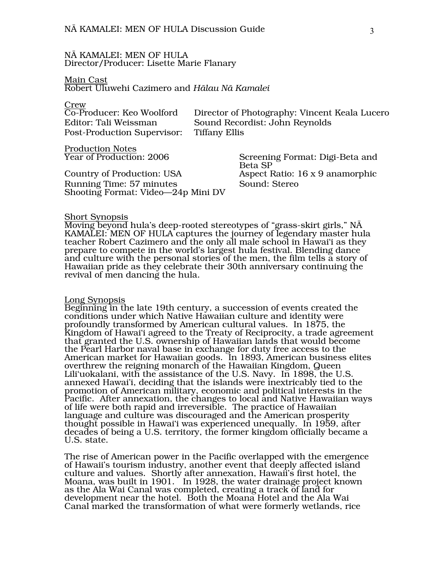### NÄ KAMALEI: MEN OF HULA Director/Producer: Lisette Marie Flanary

#### Main Cast Robert Uluwehi Cazimero and *Hälau Nä Kamalei*

Crew

| Co-Producer: Keo Woolford   | Director of Photography: Vincent Keala Lucero |
|-----------------------------|-----------------------------------------------|
| Editor: Tali Weissman       | Sound Recordist: John Reynolds                |
| Post-Production Supervisor: | Tiffany Ellis                                 |
| Production Notes            |                                               |

 $\overline{\text{Year}}$  of Production: 2006

Country of Production: USA Aspect Ratio: 16 x 9 anamorphic Running Time: 57 minutes Sound: Stereo Shooting Format: Video—24p Mini DV

Screening Format: Digi-Beta and Beta SP

#### Short Synopsis

Moving beyond hula's deep-rooted stereotypes of "grass-skirt girls," NÄ KAMALEI: MEN OF HULA captures the journey of legendary master hula teacher Robert Cazimero and the only all male school in Hawai'i as they prepare to compete in the world's largest hula festival. Blending dance and culture with the personal stories of the men, the film tells a story of Hawaiian pride as they celebrate their 30th anniversary continuing the revival of men dancing the hula.

#### Long Synopsis

Beginning in the late 19th century, a succession of events created the conditions under which Native Hawaiian culture and identity were profoundly transformed by American cultural values. In 1875, the Kingdom of Hawai'i agreed to the Treaty of Reciprocity, a trade agreement that granted the U.S. ownership of Hawaiian lands that would become the Pearl Harbor naval base in exchange for duty free access to the American market for Hawaiian goods. In 1893, American business elites overthrew the reigning monarch of the Hawaiian Kingdom, Queen Lili'uokalani, with the assistance of the U.S. Navy. In 1898, the U.S. annexed Hawai'i, deciding that the islands were inextricably tied to the promotion of American military, economic and political interests in the Pacific. After annexation, the changes to local and Native Hawaiian ways of life were both rapid and irreversible. The practice of Hawaiian language and culture was discouraged and the American prosperity thought possible in Hawai'i was experienced unequally. In 1959, after decades of being a U.S. territory, the former kingdom officially became a U.S. state.

The rise of American power in the Pacific overlapped with the emergence of Hawaii's tourism industry, another event that deeply affected island culture and values. Shortly after annexation, Hawaii's first hotel, the Moana, was built in 1901. In 1928, the water drainage project known as the Ala Wai Canal was completed, creating a track of land for development near the hotel. Both the Moana Hotel and the Ala Wai Canal marked the transformation of what were formerly wetlands, rice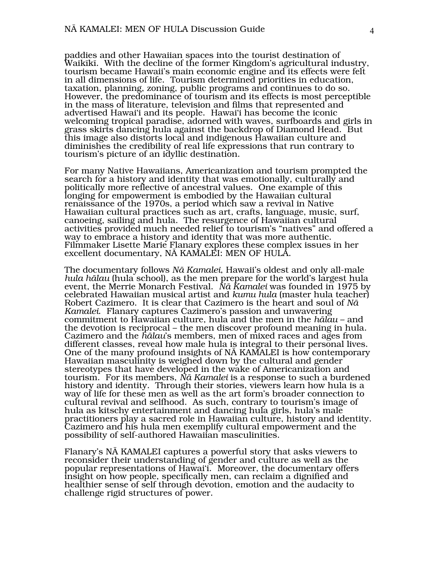paddies and other Hawaiian spaces into the tourist destination of Waikïkï. With the decline of the former Kingdom's agricultural industry, tourism became Hawaii's main economic engine and its effects were felt in all dimensions of life. Tourism determined priorities in education, taxation, planning, zoning, public programs and continues to do so. However, the predominance of tourism and its effects is most perceptible in the mass of literature, television and films that represented and advertised Hawai'i and its people. Hawai'i has become the iconic welcoming tropical paradise, adorned with waves, surfboards and girls in grass skirts dancing hula against the backdrop of Diamond Head. But this image also distorts local and indigenous Hawaiian culture and diminishes the credibility of real life expressions that run contrary to tourism's picture of an idyllic destination.

For many Native Hawaiians, Americanization and tourism prompted the search for a history and identity that was emotionally, culturally and politically more reflective of ancestral values. One example of this longing for empowerment is embodied by the Hawaiian cultural renaissance of the 1970s, a period which saw a revival in Native Hawaiian cultural practices such as art, crafts, language, music, surf, canoeing, sailing and hula. The resurgence of Hawaiian cultural activities provided much needed relief to tourism's "natives" and offered a way to embrace a history and identity that was more authentic. Filmmaker Lisette Marie Flanary explores these complex issues in her excellent documentary, NÄ KAMALEI: MEN OF HULA.

The documentary follows *Nä Kamalei*, Hawaii's oldest and only all-male *hula hälau* (hula school), as the men prepare for the world's largest hula event, the Merrie Monarch Festival. *Nä Kamalei* was founded in 1975 by celebrated Hawaiian musical artist and *kumu hula* (master hula teacher) Robert Cazimero. It is clear that Cazimero is the heart and soul of *Nä Kamalei*. Flanary captures Cazimero's passion and unwavering commitment to Hawaiian culture, hula and the men in the *hälau* – and the devotion is reciprocal – the men discover profound meaning in hula.<br>Cazimero and the *hālau*'s members, men of mixed races and ages from different classes, reveal how male hula is integral to their personal lives. One of the many profound insights of NÄ KAMALEI is how contemporary Hawaiian masculinity is weighed down by the cultural and gender stereotypes that have developed in the wake of Americanization and tourism. For its members, *Nä Kamalei* is a response to such a burdened history and identity. Through their stories, viewers learn how hula is a way of life for these men as well as the art form's broader connection to cultural revival and selfhood. As such, contrary to tourism's image of hula as kitschy entertainment and dancing hula girls, hula's male practitioners play a sacred role in Hawaiian culture, history and identity. Cazimero and his hula men exemplify cultural empowerment and the possibility of self-authored Hawaiian masculinities.

Flanary's NÄ KAMALEI captures a powerful story that asks viewers to reconsider their understanding of gender and culture as well as the popular representations of Hawai'i. Moreover, the documentary offers insight on how people, specifically men, can reclaim a dignified and healthier sense of self through devotion, emotion and the audacity to challenge rigid structures of power.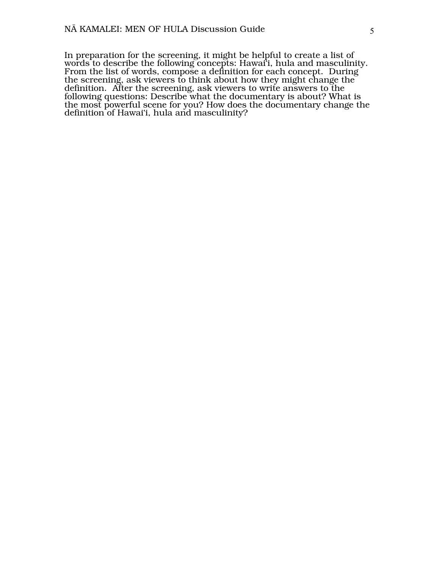In preparation for the screening, it might be helpful to create a list of words to describe the following concepts: Hawai'i, hula and masculinity. From the list of words, compose a definition for each concept. During the screening, ask viewers to think about how they might change the definition. After the screening, ask viewers to write answers to the following questions: Describe what the documentary is about? What is the most powerful scene for you? How does the documentary change the definition of Hawai'i, hula and masculinity?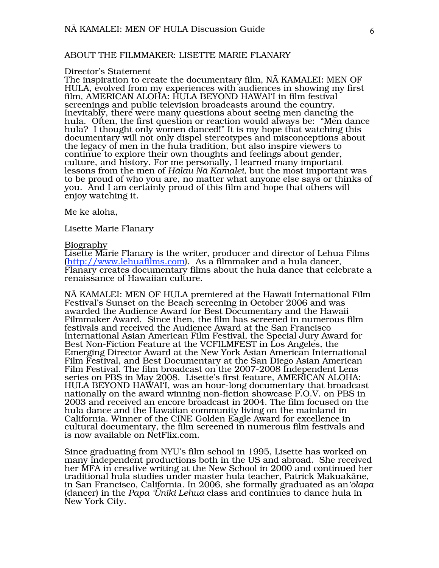# ABOUT THE FILMMAKER: LISETTE MARIE FLANARY

#### Director's Statement

The inspiration to create the documentary film, NÄ KAMALEI: MEN OF HULA, evolved from my experiences with audiences in showing my first film, AMERICAN ALOHA: HULA BEYOND HAWAI'I in film festival screenings and public television broadcasts around the country. Inevitably, there were many questions about seeing men dancing the hula. Often, the first question or reaction would always be: "Men dance hula? I thought only women danced!" It is my hope that watching this documentary will not only dispel stereotypes and misconceptions about the legacy of men in the hula tradition, but also inspire viewers to continue to explore their own thoughts and feelings about gender, culture, and history. For me personally, I learned many important lessons from the men of *Hälau Nä Kamalei*, but the most important was to be proud of who you are, no matter what anyone else says or thinks of you. And I am certainly proud of this film and hope that others will enjoy watching it.

Me ke aloha,

Lisette Marie Flanary

# **Biography**

Lisette Marie Flanary is the writer, producer and director of Lehua Films (http://www.lehuafilms.com). As a filmmaker and a hula dancer, Flanary creates documentary films about the hula dance that celebrate a renaissance of Hawaiian culture.

NÄ KAMALEI: MEN OF HULA premiered at the Hawaii International Film Festival's Sunset on the Beach screening in October 2006 and was awarded the Audience Award for Best Documentary and the Hawaii Filmmaker Award. Since then, the film has screened in numerous film festivals and received the Audience Award at the San Francisco International Asian American Film Festival, the Special Jury Award for Best Non-Fiction Feature at the VCFILMFEST in Los Angeles, the Emerging Director Award at the New York Asian American International Film Festival, and Best Documentary at the San Diego Asian American Film Festival. The film broadcast on the 2007-2008 Independent Lens series on PBS in May 2008. Lisette's first feature, AMERICAN ALOHA: HULA BEYOND HAWAI'I, was an hour-long documentary that broadcast nationally on the award winning non-fiction showcase P.O.V. on PBS in 2003 and received an encore broadcast in 2004. The film focused on the hula dance and the Hawaiian community living on the mainland in California. Winner of the CINE Golden Eagle Award for excellence in cultural documentary, the film screened in numerous film festivals and is now available on NetFlix.com.

Since graduating from NYU's film school in 1995, Lisette has worked on many independent productions both in the US and abroad. She received her MFA in creative writing at the New School in 2000 and continued her traditional hula studies under master hula teacher, Patrick Makuakäne, in San Francisco, California. In 2006, she formally graduated as an*'ölapa* (dancer) in the *Papa 'Üniki Lehua* class and continues to dance hula in New York City.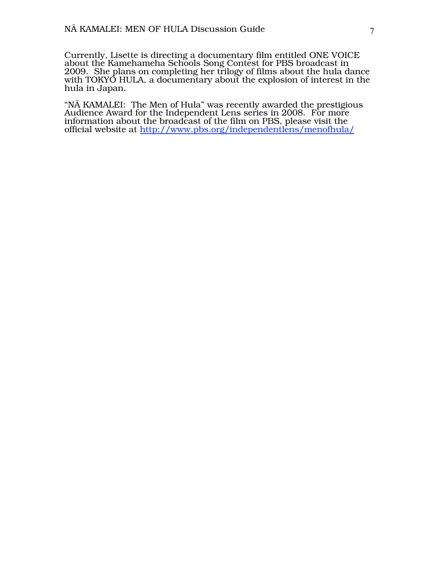Currently, Lisette is directing a documentary film entitled ONE VOICE about the Kamehameha Schools Song Contest for PBS broadcast in 2009. She plans on completing her trilogy of films about the hula dance with TOKYO HULA, a documentary about the explosion of interest in the hula in Japan.

"NÄ KAMALEI: The Men of Hula" was recently awarded the prestigious Audience Award for the Independent Lens series in 2008. For more information about the broadcast of the film on PBS, please visit the official website at http://www.pbs.org/independentlens/menofhula/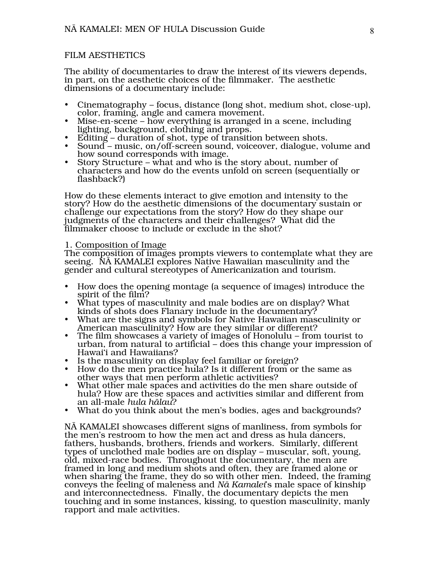# FILM AESTHETICS

The ability of documentaries to draw the interest of its viewers depends, in part, on the aesthetic choices of the filmmaker. The aesthetic dimensions of a documentary include:

- Cinematography focus, distance (long shot, medium shot, close-up), color, framing, angle and camera movement.
- Mise-en-scene how everything is arranged in a scene, including lighting, background, clothing and props.<br>Editing – duration of shot, type of transition between shots.
- 
- Sound music, on/off-screen sound, voiceover, dialogue, volume and how sound corresponds with image.
- Story Structure what and who is the story about, number of characters and how do the events unfold on screen (sequentially or flashback?)

How do these elements interact to give emotion and intensity to the story? How do the aesthetic dimensions of the documentary sustain or challenge our expectations from the story? How do they shape our judgments of the characters and their challenges? What did the filmmaker choose to include or exclude in the shot?

#### 1. Composition of Image

The composition of images prompts viewers to contemplate what they are seeing. NÄ KAMALEI explores Native Hawaiian masculinity and the gender and cultural stereotypes of Americanization and tourism.

- How does the opening montage (a sequence of images) introduce the spirit of the film?
- What types of masculinity and male bodies are on display? What kinds of shots does Flanary include in the documentary?
- What are the signs and symbols for Native Hawaiian masculinity or American masculinity? How are they similar or different?
- The film showcases a variety of images of Honolulu from tourist to urban, from natural to artificial – does this change your impression of Hawai'i and Hawaiians?<br>Is the masculinity on display feel familiar or foreign?
- 
- How do the men practice hula? Is it different from or the same as other ways that men perform athletic activities?
- What other male spaces and activities do the men share outside of hula? How are these spaces and activities similar and different from an all-male *hula hälau*?
- What do you think about the men's bodies, ages and backgrounds?

NÄ KAMALEI showcases different signs of manliness, from symbols for the men's restroom to how the men act and dress as hula dancers, fathers, husbands, brothers, friends and workers. Similarly, different types of unclothed male bodies are on display – muscular, soft, young, old, mixed-race bodies. Throughout the documentary, the men are framed in long and medium shots and often, they are framed alone or when sharing the frame, they do so with other men. Indeed, the framing conveys the feeling of maleness and *Nä Kamalei*'s male space of kinship and interconnectedness. Finally, the documentary depicts the men touching and in some instances, kissing, to question masculinity, manly rapport and male activities.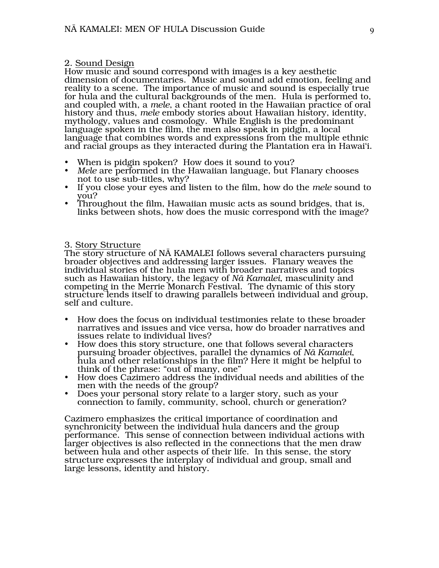# 2. Sound Design

How music and sound correspond with images is a key aesthetic dimension of documentaries. Music and sound add emotion, feeling and reality to a scene. The importance of music and sound is especially true for hula and the cultural backgrounds of the men. Hula is performed to, and coupled with, a *mele*, a chant rooted in the Hawaiian practice of oral history and thus, *mele* embody stories about Hawaiian history, identity, mythology, values and cosmology. While English is the predominant language spoken in the film, the men also speak in pidgin, a local language that combines words and expressions from the multiple ethnic and racial groups as they interacted during the Plantation era in Hawai'i.

- 
- When is pidgin spoken? How does it sound to you? *Mele* are performed in the Hawaiian language, but Flanary chooses not to use sub-titles, why?
- If you close your eyes and listen to the film, how do the *mele* sound to you?
- Throughout the film, Hawaiian music acts as sound bridges, that is, links between shots, how does the music correspond with the image?

# 3. Story Structure

The story structure of NÄ KAMALEI follows several characters pursuing broader objectives and addressing larger issues. Flanary weaves the individual stories of the hula men with broader narratives and topics such as Hawaiian history, the legacy of *Nä Kamalei*, masculinity and competing in the Merrie Monarch Festival. The dynamic of this story structure lends itself to drawing parallels between individual and group, self and culture.

- How does the focus on individual testimonies relate to these broader narratives and issues and vice versa, how do broader narratives and issues relate to individual lives?
- How does this story structure, one that follows several characters pursuing broader objectives, parallel the dynamics of *Nä Kamalei*, hula and other relationships in the film? Here it might be helpful to think of the phrase: "out of many, one"
- How does Cazimero address the individual needs and abilities of the men with the needs of the group?
- Does your personal story relate to a larger story, such as your connection to family, community, school, church or generation?

Cazimero emphasizes the critical importance of coordination and synchronicity between the individual hula dancers and the group performance. This sense of connection between individual actions with larger objectives is also reflected in the connections that the men draw between hula and other aspects of their life. In this sense, the story structure expresses the interplay of individual and group, small and large lessons, identity and history.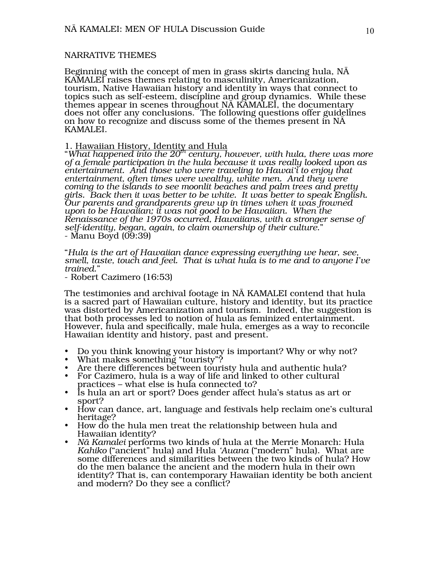# NARRATIVE THEMES

Beginning with the concept of men in grass skirts dancing hula, NÄ KAMALEI raises themes relating to masculinity, Americanization, tourism, Native Hawaiian history and identity in ways that connect to topics such as self-esteem, discipline and group dynamics. While these themes appear in scenes throughout NÄ KAMALEI, the documentary does not offer any conclusions. The following questions offer guidelines on how to recognize and discuss some of the themes present in NÄ KAMALEI.

# 1. Hawaiian History, Identity and Hula

"*What happened into the 20th century, however, with hula, there was more of a female participation in the hula because it was really looked upon as entertainment. And those who were traveling to Hawai'i to enjoy that entertainment, often times were wealthy, white men. And they were coming to the islands to see moonlit beaches and palm trees and pretty girls. Back then it was better to be white. It was better to speak English. Our parents and grandparents grew up in times when it was frowned upon to be Hawaiian; it was not good to be Hawaiian. When the Renaissance of the 1970s occurred, Hawaiians, with a stronger sense of self-identity, began, again, to claim ownership of their culture*." - Manu Boyd (09:39)

"*Hula is the art of Hawaiian dance expressing everything we hear, see, smell, taste, touch and feel. That is what hula is to me and to anyone I've trained*."

- Robert Cazimero (16:53)

The testimonies and archival footage in NÄ KAMALEI contend that hula is a sacred part of Hawaiian culture, history and identity, but its practice was distorted by Americanization and tourism. Indeed, the suggestion is that both processes led to notion of hula as feminized entertainment. However, hula and specifically, male hula, emerges as a way to reconcile Hawaiian identity and history, past and present.

- Do you think knowing your history is important? Why or why not?<br>• What makes something "touristy"?<br>• Are there differences between touristy hula and authentic hula?<br>• For Cazimero, hula is a way of life and linked to oth
- 
- 
- practices what else is hula connected to?
- Is hula an art or sport? Does gender affect hula's status as art or sport?
- How can dance, art, language and festivals help reclaim one's cultural heritage?
- How do the hula men treat the relationship between hula and Hawaiian identity?
- *Nä Kamalei* performs two kinds of hula at the Merrie Monarch: Hula *Kahiko* ("ancient" hula) and Hula *'Auana* ("modern" hula). What are some differences and similarities between the two kinds of hula? How do the men balance the ancient and the modern hula in their own identity? That is, can contemporary Hawaiian identity be both ancient and modern? Do they see a conflict?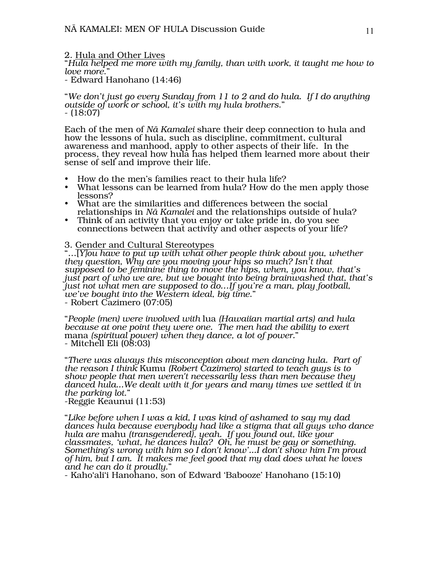# 2. <u>Hula and Other Lives</u>

"*Hula helped me more with my family, than with work, it taught me how to love more*."

- Edward Hanohano (14:46)

"*We don't just go every Sunday from 11 to 2 and do hula. If I do anything outside of work or school, it's with my hula brothers*." - (18:07)

Each of the men of *Nä Kamalei* share their deep connection to hula and how the lessons of hula, such as discipline, commitment, cultural awareness and manhood, apply to other aspects of their life. In the process, they reveal how hula has helped them learned more about their sense of self and improve their life.

- 
- How do the men's families react to their hula life? What lessons can be learned from hula? How do the men apply those lessons?
- What are the similarities and differences between the social relationships in *Nä Kamalei* and the relationships outside of hula?
- Think of an activity that you enjoy or take pride in, do you see connections between that activity and other aspects of your life?

3. Gender and Cultural Stereotypes

"…[*Y]ou have to put up with what other people think about you, whether they question, Why are you moving your hips so much? Isn't that supposed to be feminine thing to move the hips, when, you know, that's just part of who we are, but we bought into being brainwashed that, that's just not what men are supposed to do…If you're a man, play football, we've bought into the Western ideal, big time*."

- Robert Cazimero (07:05)

"*People (men) were involved with* lua *(Hawaiian martial arts) and hula because at one point they were one. The men had the ability to exert* mana *(spiritual power) when they dance, a lot of power.*" - Mitchell Eli (08:03)

"*There was always this misconception about men dancing hula. Part of the reason I think* Kumu *(Robert Cazimero) started to teach guys is to show people that men weren't necessarily less than men because they danced hula...We dealt with it for years and many times we settled it in the parking lot*."

-Reggie Keaunui (11:53)

"*Like before when I was a kid, I was kind of ashamed to say my dad dances hula because everybody had like a stigma that all guys who dance hula are* mahu *(transgendered), yeah. If you found out, like your classmates, 'what, he dances hula? Oh, he must be gay or something. Something's wrong with him so I don't know'...I don't show him I'm proud of him, but I am. It makes me feel good that my dad does what he loves and he can do it proudly*."

- Kaho'ali'i Hanohano, son of Edward 'Babooze' Hanohano (15:10)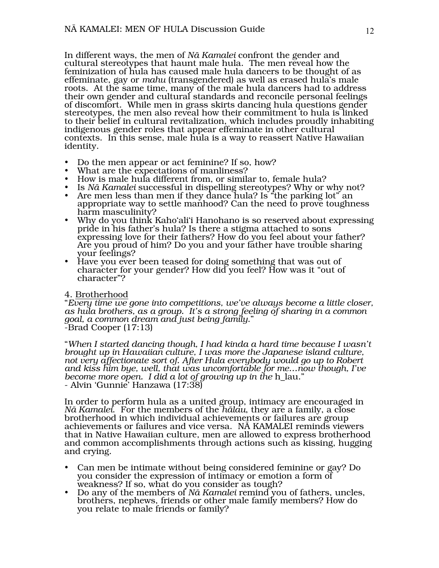In different ways, the men of *Nä Kamalei* confront the gender and cultural stereotypes that haunt male hula. The men reveal how the feminization of hula has caused male hula dancers to be thought of as effeminate, gay or *mahu* (transgendered) as well as erased hula's male roots. At the same time, many of the male hula dancers had to address their own gender and cultural standards and reconcile personal feelings of discomfort. While men in grass skirts dancing hula questions gender stereotypes, the men also reveal how their commitment to hula is linked to their belief in cultural revitalization, which includes proudly inhabiting indigenous gender roles that appear effeminate in other cultural contexts. In this sense, male hula is a way to reassert Native Hawaiian identity.

- 
- 
- 
- 
- Do the men appear or act feminine? If so, how?<br>What are the expectations of manliness?<br>How is male hula different from, or similar to, female hula?<br>Is Nā Kamalei successful in dispelling stereotypes? Why or why not?<br>Are me appropriate way to settle manhood? Can the need to prove toughness harm masculinity?
- Why do you think Kaho'ali'i Hanohano is so reserved about expressing pride in his father's hula? Is there a stigma attached to sons expressing love for their fathers? How do you feel about your father? Are you proud of him? Do you and your father have trouble sharing your feelings?
- Have you ever been teased for doing something that was out of character for your gender? How did you feel? How was it "out of character"?

# 4. Brotherhood

"*Every time we gone into competitions, we've always become a little closer, as hula brothers, as a group. It's a strong feeling of sharing in a common goal, a common dream and just being family*." -Brad Cooper (17:13)

"*When I started dancing though, I had kinda a hard time because I wasn't brought up in Hawaiian culture, I was more the Japanese island culture, not very affectionate sort of. After Hula everybody would go up to Robert and kiss him bye, well, that was uncomfortable for me…now though, I've become more open. I did a lot of growing up in the* h\_lau." - Alvin 'Gunnie' Hanzawa (17:38)

In order to perform hula as a united group, intimacy are encouraged in<br>*Nā Kamalei. F*or the members of the *hālau*, they are a family, a close *h* brotherhood in which individual achievements or failures are group achievements or failures and vice versa. NÄ KAMALEI reminds viewers that in Native Hawaiian culture, men are allowed to express brotherhood and common accomplishments through actions such as kissing, hugging and crying.

- Can men be intimate without being considered feminine or gay? Do you consider the expression of intimacy or emotion a form of weakness? If so, what do you consider as tough?
- Do any of the members of *Nä Kamalei* remind you of fathers, uncles, brothers, nephews, friends or other male family members? How do you relate to male friends or family?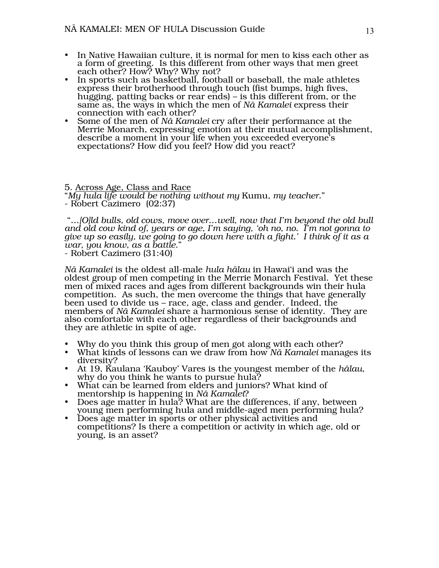- In Native Hawaiian culture, it is normal for men to kiss each other as a form of greeting. Is this different from other ways that men greet each other? How? Why? Why not?
- In sports such as basketball, football or baseball, the male athletes express their brotherhood through touch (fist bumps, high fives, hugging, patting backs or rear ends) – is this different from, or the same as, the ways in which the men of *Nä Kamalei* express their connection with each other?
- Some of the men of *Nä Kamalei* cry after their performance at the Merrie Monarch, expressing emotion at their mutual accomplishment, describe a moment in your life when you exceeded everyone's expectations? How did you feel? How did you react?

5. Across Age, Class and Race

"*My hula life would be nothing without my* Kumu*, my teacher*."

 "*…[O]ld bulls, old cows, move over…well, now that I'm beyond the old bull and old cow kind of, years or age, I'm saying, 'oh no, no. I'm not gonna to give up so easily, we going to go down here with a fight.' I think of it as a war, you know, as a battle*."

- Robert Cazimero (31:40)

*Nä Kamalei* is the oldest all-male *hula hälau* in Hawai'i and was the oldest group of men competing in the Merrie Monarch Festival. Yet these men of mixed races and ages from different backgrounds win their hula competition. As such, the men overcome the things that have generally been used to divide us – race, age, class and gender. Indeed, the members of *Nā Kamalei* share a harmonious sense of identity. They are<br>also comfortable with each other regardless of their backgrounds and they are athletic in spite of age.

- 
- Why do you think this group of men got along with each other? What kinds of lessons can we draw from how *Nä Kamalei* manages its diversity?
- At 19, Kaulana 'Kauboy' Vares is the youngest member of the *hälau*, why do you think he wants to pursue hula?
- What can be learned from elders and juniors? What kind of mentorship is happening in *Nä Kamalei*?
- Does age matter in hula? What are the differences, if any, between young men performing hula and middle-aged men performing hula?
- Does age matter in sports or other physical activities and competitions? Is there a competition or activity in which age, old or young, is an asset?

<sup>-</sup> Robert Cazimero (02:37)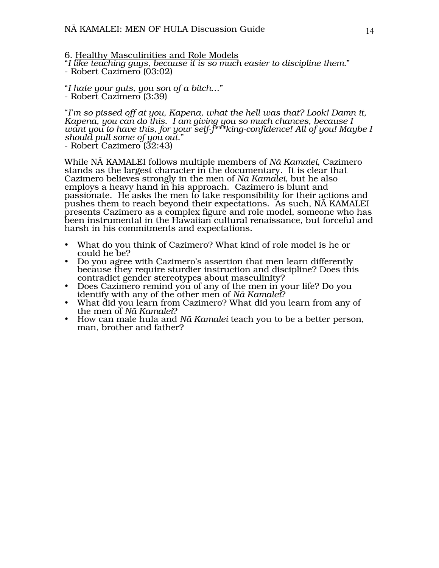6. Healthy Masculinities and Role Models

"*I like teaching guys, because it is so much easier to discipline them.*" - Robert Cazimero (03:02)

"*I hate your guts, you son of a bitch*…" - Robert Cazimero (3:39)

"*I'm so pissed off at you, Kapena, what the hell was that? Look! Damn it, Kapena, you can do this. I am giving you so much chances, because I want you to have this, for your self-f\*\*\*king-confidence! All of you! Maybe I should pull some of you out*."

- Robert Cazimero (32:43)

While NÄ KAMALEI follows multiple members of *Nä Kamalei*, Cazimero stands as the largest character in the documentary. It is clear that Cazimero believes strongly in the men of *Nä Kamalei*, but he also employs a heavy hand in his approach. Cazimero is blunt and passionate. He asks the men to take responsibility for their actions and pushes them to reach beyond their expectations. As such, NÄ KAMALEI presents Cazimero as a complex figure and role model, someone who has been instrumental in the Hawaiian cultural renaissance, but forceful and harsh in his commitments and expectations.

- What do you think of Cazimero? What kind of role model is he or could he be?
- Do you agree with Cazimero's assertion that men learn differently because they require sturdier instruction and discipline? Does this contradict gender stereotypes about masculinity?
- Does Cazimero remind you of any of the men in your life? Do you identify with any of the other men of *Nä Kamalei*?
- What did you learn from Cazimero? What did you learn from any of the men of *Nä Kamalei*?
- How can male hula and *Nä Kamalei* teach you to be a better person, man, brother and father?